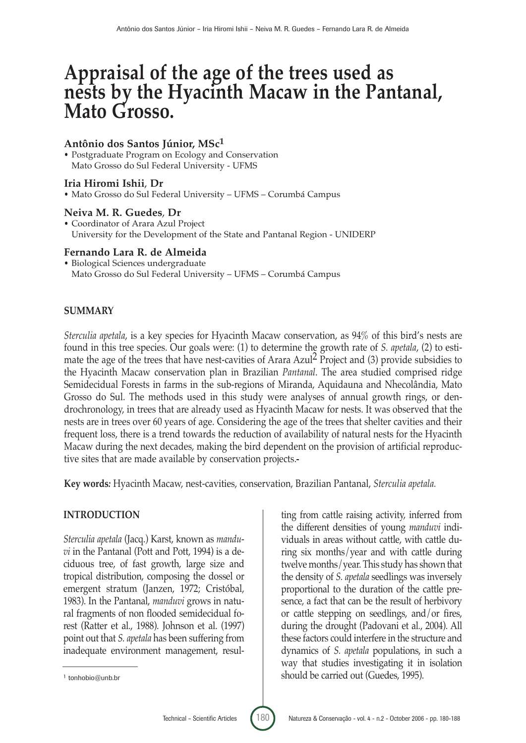# **Appraisal of the age of the trees used as nests by the Hyacinth Macaw in the Pantanal, Mato Grosso.**

## **Antônio dos Santos Júnior, MSc1**

• Postgraduate Program on Ecology and Conservation Mato Grosso do Sul Federal University - UFMS

#### **Iria Hiromi Ishii**, **Dr**

• Mato Grosso do Sul Federal University – UFMS – Corumbá Campus

#### **Neiva M. R. Guedes**, **Dr**

• Coordinator of Arara Azul Project University for the Development of the State and Pantanal Region - UNIDERP

#### **Fernando Lara R. de Almeida**

• Biological Sciences undergraduate Mato Grosso do Sul Federal University – UFMS – Corumbá Campus

### **SUMMARY**

*Sterculia apetala*, is a key species for Hyacinth Macaw conservation, as 94% of this bird's nests are found in this tree species. Our goals were: (1) to determine the growth rate of *S. apetala*, (2) to estimate the age of the trees that have nest-cavities of Arara Azul<sup>2</sup> Project and (3) provide subsidies to the Hyacinth Macaw conservation plan in Brazilian *Pantanal*. The area studied comprised ridge Semidecidual Forests in farms in the sub-regions of Miranda, Aquidauna and Nhecolândia, Mato Grosso do Sul. The methods used in this study were analyses of annual growth rings, or dendrochronology, in trees that are already used as Hyacinth Macaw for nests. It was observed that the nests are in trees over 60 years of age. Considering the age of the trees that shelter cavities and their frequent loss, there is a trend towards the reduction of availability of natural nests for the Hyacinth Macaw during the next decades, making the bird dependent on the provision of artificial reproductive sites that are made available by conservation projects.

**Key words***:* Hyacinth Macaw, nest-cavities, conservation, Brazilian Pantanal, *Sterculia apetala.*

#### **INTRODUCTION**

*Sterculia apetala* (Jacq.) Karst, known as *manduvi* in the Pantanal (Pott and Pott, 1994) is a deciduous tree, of fast growth, large size and tropical distribution, composing the dossel or emergent stratum (Janzen, 1972; Cristóbal, 1983). In the Pantanal, *manduvi* grows in natural fragments of non flooded semidecidual forest (Ratter et al., 1988). Johnson et al. (1997) point out that *S. apetala* has been suffering from inadequate environment management, resul-

ting from cattle raising activity, inferred from the different densities of young *manduvi* individuals in areas without cattle, with cattle during six months/year and with cattle during twelve months/year. This study has shown that the density of *S. apetala* seedlings was inversely proportional to the duration of the cattle presence, a fact that can be the result of herbivory or cattle stepping on seedlings, and/or fires, during the drought (Padovani et al*.*, 2004). All these factors could interfere in the structure and dynamics of *S. apetala* populations, in such a way that studies investigating it in isolation should be carried out (Guedes, 1995).

<sup>1</sup> tonhobio@unb.br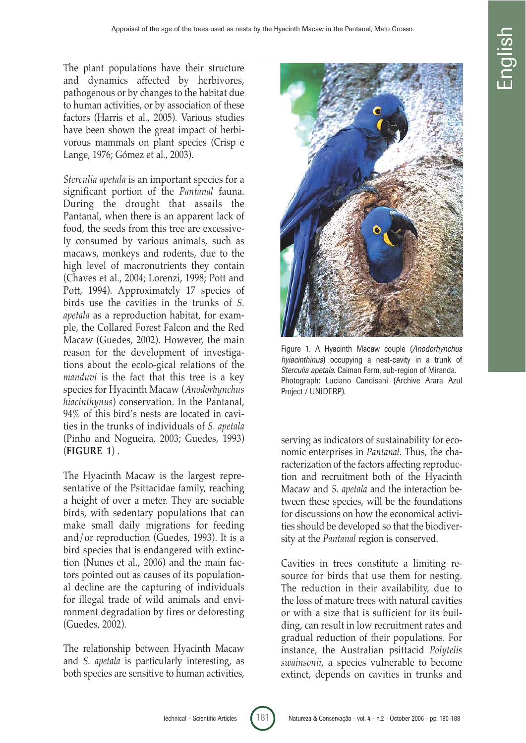The plant populations have their structure and dynamics affected by herbivores, pathogenous or by changes to the habitat due to human activities, or by association of these factors (Harris et al*.*, 2005). Various studies have been shown the great impact of herbivorous mammals on plant species (Crisp e Lange, 1976; Gómez et al*.*, 2003).

*Sterculia apetala* is an important species for a significant portion of the *Pantanal* fauna. During the drought that assails the Pantanal, when there is an apparent lack of food, the seeds from this tree are excessively consumed by various animals, such as macaws, monkeys and rodents, due to the high level of macronutrients they contain (Chaves et al*.*, 2004; Lorenzi, 1998; Pott and Pott, 1994). Approximately 17 species of birds use the cavities in the trunks of *S. apetala* as a reproduction habitat, for example, the Collared Forest Falcon and the Red Macaw (Guedes, 2002). However, the main reason for the development of investigations about the ecolo-gical relations of the *manduvi* is the fact that this tree is a key species for Hyacinth Macaw (*Anodorhynchus hiacinthynus*) conservation. In the Pantanal, 94% of this bird's nests are located in cavities in the trunks of individuals of *S. apetala* (Pinho and Nogueira, 2003; Guedes, 1993) (**FIGURE 1**) .

The Hyacinth Macaw is the largest representative of the Psittacidae family, reaching a height of over a meter. They are sociable birds, with sedentary populations that can make small daily migrations for feeding and/or reproduction (Guedes, 1993). It is a bird species that is endangered with extinction (Nunes et al., 2006) and the main factors pointed out as causes of its populational decline are the capturing of individuals for illegal trade of wild animals and environment degradation by fires or deforesting (Guedes, 2002).

The relationship between Hyacinth Macaw and *S. apetala* is particularly interesting, as both species are sensitive to human activities,



Figure 1. A Hyacinth Macaw couple (Anodorhynchus hyiacinthinus) occupying a nest-cavity in a trunk of Sterculia apetala. Caiman Farm, sub-region of Miranda. Photograph: Luciano Candisani (Archive Arara Azul Project / UNIDERP).

serving as indicators of sustainability for economic enterprises in *Pantanal*. Thus, the characterization of the factors affecting reproduction and recruitment both of the Hyacinth Macaw and *S. apetala* and the interaction between these species, will be the foundations for discussions on how the economical activities should be developed so that the biodiversity at the *Pantanal* region is conserved.

Cavities in trees constitute a limiting resource for birds that use them for nesting. The reduction in their availability, due to the loss of mature trees with natural cavities or with a size that is sufficient for its building, can result in low recruitment rates and gradual reduction of their populations. For instance, the Australian psittacid *Polytelis swainsonii*, a species vulnerable to become extinct, depends on cavities in trunks and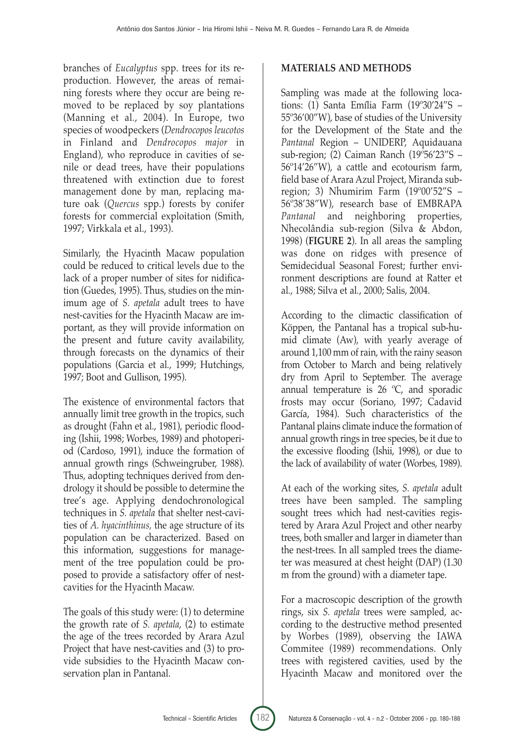branches of *Eucalyptus* spp. trees for its reproduction. However, the areas of remaining forests where they occur are being removed to be replaced by soy plantations (Manning et al*.*, 2004). In Europe, two species of woodpeckers (*Dendrocopos leucotos* in Finland and *Dendrocopos major* in England), who reproduce in cavities of senile or dead trees, have their populations threatened with extinction due to forest management done by man, replacing mature oak (*Quercus* spp.) forests by conifer forests for commercial exploitation (Smith, 1997; Virkkala et al., 1993).

Similarly, the Hyacinth Macaw population could be reduced to critical levels due to the lack of a proper number of sites for nidification (Guedes, 1995). Thus, studies on the minimum age of *S. apetala* adult trees to have nest-cavities for the Hyacinth Macaw are important, as they will provide information on the present and future cavity availability, through forecasts on the dynamics of their populations (Garcia et al*.*, 1999; Hutchings, 1997; Boot and Gullison, 1995).

The existence of environmental factors that annually limit tree growth in the tropics, such as drought (Fahn et al., 1981), periodic flooding (Ishii, 1998; Worbes, 1989) and photoperiod (Cardoso, 1991), induce the formation of annual growth rings (Schweingruber, 1988). Thus, adopting techniques derived from dendrology it should be possible to determine the tree's age. Applying dendochronological techniques in *S. apetala* that shelter nest-cavities of *A. hyacinthinus,* the age structure of its population can be characterized. Based on this information, suggestions for management of the tree population could be proposed to provide a satisfactory offer of nestcavities for the Hyacinth Macaw.

The goals of this study were: (1) to determine the growth rate of *S. apetala*, (2) to estimate the age of the trees recorded by Arara Azul Project that have nest-cavities and (3) to provide subsidies to the Hyacinth Macaw conservation plan in Pantanal.

# **MATERIALS AND METHODS**

Sampling was made at the following locations: (1) Santa Emília Farm (19º30'24"S – 55º36'00"W), base of studies of the University for the Development of the State and the *Pantanal* Region – UNIDERP, Aquidauana sub-region; (2) Caiman Ranch (19º56'23"S – 56º14'26"W), a cattle and ecotourism farm, field base of Arara Azul Project, Miranda subregion; 3) Nhumirim Farm (19º00'52"S – 56º38'38"W), research base of EMBRAPA *Pantanal* and neighboring properties, Nhecolândia sub-region (Silva & Abdon, 1998) (**FIGURE 2**). In all areas the sampling was done on ridges with presence of Semidecidual Seasonal Forest; further environment descriptions are found at Ratter et al*.*, 1988; Silva et al*.*, 2000; Salis, 2004.

According to the climactic classification of Köppen, the Pantanal has a tropical sub-humid climate (Aw), with yearly average of around 1,100 mm of rain, with the rainy season from October to March and being relatively dry from April to September. The average annual temperature is 26 ºC, and sporadic frosts may occur (Soriano, 1997; Cadavid García, 1984). Such characteristics of the Pantanal plains climate induce the formation of annual growth rings in tree species, be it due to the excessive flooding (Ishii, 1998), or due to the lack of availability of water (Worbes, 1989).

At each of the working sites, *S. apetala* adult trees have been sampled. The sampling sought trees which had nest-cavities registered by Arara Azul Project and other nearby trees, both smaller and larger in diameter than the nest-trees. In all sampled trees the diameter was measured at chest height (DAP) (1.30 m from the ground) with a diameter tape.

For a macroscopic description of the growth rings, six *S. apetala* trees were sampled, according to the destructive method presented by Worbes (1989), observing the IAWA Commitee (1989) recommendations. Only trees with registered cavities, used by the Hyacinth Macaw and monitored over the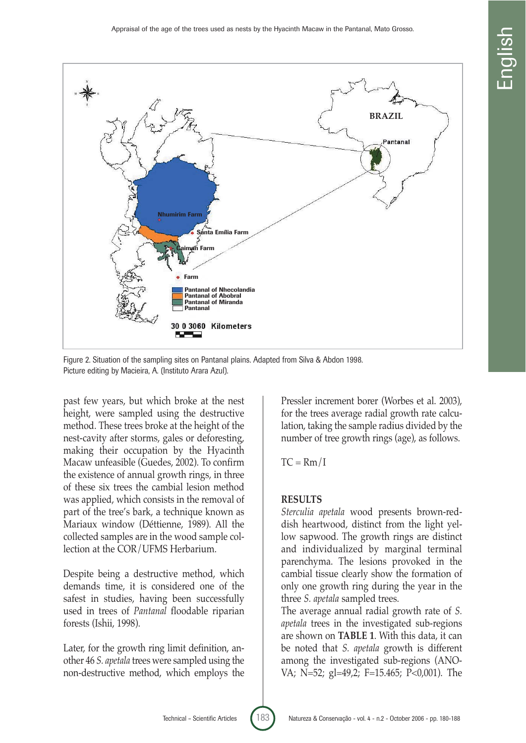

Figure 2. Situation of the sampling sites on Pantanal plains. Adapted from Silva & Abdon 1998. Picture editing by Macieira, A. (Instituto Arara Azul).

past few years, but which broke at the nest height, were sampled using the destructive method. These trees broke at the height of the nest-cavity after storms, gales or deforesting, making their occupation by the Hyacinth Macaw unfeasible (Guedes, 2002). To confirm the existence of annual growth rings, in three of these six trees the cambial lesion method was applied, which consists in the removal of part of the tree's bark, a technique known as Mariaux window (Déttienne, 1989). All the collected samples are in the wood sample collection at the COR/UFMS Herbarium.

Despite being a destructive method, which demands time, it is considered one of the safest in studies, having been successfully used in trees of *Pantanal* floodable riparian forests (Ishii, 1998).

Later, for the growth ring limit definition, another 46 *S. apetala* trees were sampled using the non-destructive method, which employs the

Pressler increment borer (Worbes et al. 2003), for the trees average radial growth rate calculation, taking the sample radius divided by the number of tree growth rings (age), as follows.

 $TC = Rm/I$ 

## **RESULTS**

*Sterculia apetala* wood presents brown-reddish heartwood, distinct from the light yellow sapwood. The growth rings are distinct and individualized by marginal terminal parenchyma. The lesions provoked in the cambial tissue clearly show the formation of only one growth ring during the year in the three *S. apetala* sampled trees.

The average annual radial growth rate of *S. apetala* trees in the investigated sub-regions are shown on **TABLE 1**. With this data, it can be noted that *S. apetala* growth is different among the investigated sub-regions (ANO-VA; N=52; gl=49,2; F=15.465; P<0,001). The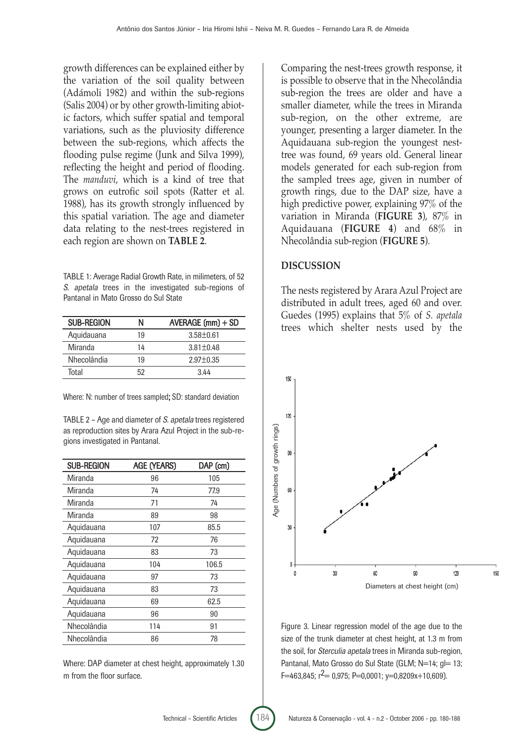growth differences can be explained either by the variation of the soil quality between (Adámoli 1982) and within the sub-regions (Salis 2004) or by other growth-limiting abiotic factors, which suffer spatial and temporal variations, such as the pluviosity difference between the sub-regions, which affects the flooding pulse regime (Junk and Silva 1999), reflecting the height and period of flooding. The *manduvi*, which is a kind of tree that grows on eutrofic soil spots (Ratter et al. 1988), has its growth strongly influenced by this spatial variation. The age and diameter data relating to the nest-trees registered in each region are shown on **TABLE 2**.

TABLE 1: Average Radial Growth Rate, in milimeters, of 52 S. apetala trees in the investigated sub-regions of Pantanal in Mato Grosso do Sul State

| <b>SUB-REGION</b> | N  | AVERAGE (mm) + SD |
|-------------------|----|-------------------|
| Aquidauana        | 19 | $3.58 \pm 0.61$   |
| Miranda           | 14 | $3.81 \pm 0.48$   |
| Nhecolândia       | 19 | $2.97 \pm 0.35$   |
| Total             | 52 | 344               |

Where: N: number of trees sampled; SD: standard deviation

TABLE 2 – Age and diameter of S. apetala trees registered as reproduction sites by Arara Azul Project in the sub-regions investigated in Pantanal.

| <b>SUB-REGION</b> | <b>AGE (YEARS)</b> | DAP (cm) |
|-------------------|--------------------|----------|
| Miranda           | 96                 | 105      |
| Miranda           | 74                 | 77.9     |
| Miranda           | 71                 | 74       |
| Miranda           | 89                 | 98       |
| Aquidauana        | 107                | 85.5     |
| Aquidauana        | 72                 | 76       |
| Aquidauana        | 83                 | 73       |
| Aquidauana        | 104                | 106.5    |
| Aquidauana        | 97                 | 73       |
| Aquidauana        | 83                 | 73       |
| Aquidauana        | 69                 | 62.5     |
| Aquidauana        | 96                 | 90       |
| Nhecolândia       | 114                | 91       |
| Nhecolândia       | 86                 | 78       |

Where: DAP diameter at chest height, approximately 1.30 m from the floor surface.

Comparing the nest-trees growth response, it is possible to observe that in the Nhecolândia sub-region the trees are older and have a smaller diameter, while the trees in Miranda sub-region, on the other extreme, are younger, presenting a larger diameter. In the Aquidauana sub-region the youngest nesttree was found, 69 years old. General linear models generated for each sub-region from the sampled trees age, given in number of growth rings, due to the DAP size, have a high predictive power, explaining 97% of the variation in Miranda (**FIGURE 3**), 87% in Aquidauana (**FIGURE 4**) and 68% in Nhecolândia sub-region (**FIGURE 5**).

#### **DISCUSSION**

The nests registered by Arara Azul Project are distributed in adult trees, aged 60 and over. Guedes (1995) explains that 5% of *S. apetala* trees which shelter nests used by the



Figure 3. Linear regression model of the age due to the size of the trunk diameter at chest height, at 1.3 m from the soil, for Sterculia apetala trees in Miranda sub-region, Pantanal, Mato Grosso do Sul State (GLM; N=14; q = 13;  $F=463,845$ ;  $r^2= 0.975$ ;  $P=0.0001$ ;  $y=0.8209x+10.609$ ).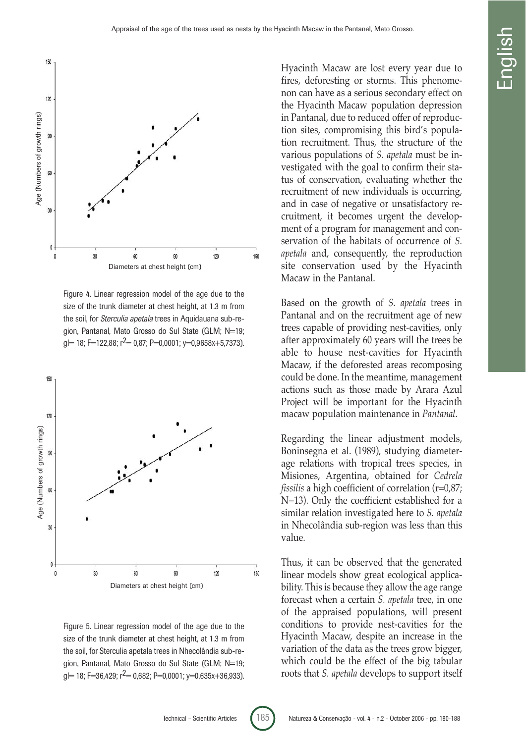

Figure 4. Linear regression model of the age due to the size of the trunk diameter at chest height, at 1.3 m from the soil, for Sterculia apetala trees in Aquidauana sub-region, Pantanal, Mato Grosso do Sul State (GLM; N=19;  $g = 18$ ; F=122,88; r<sup>2</sup>= 0,87; P=0,0001; y=0,9658x+5,7373).



Figure 5. Linear regression model of the age due to the size of the trunk diameter at chest height, at 1.3 m from the soil, for Sterculia apetala trees in Nhecolândia sub-region, Pantanal, Mato Grosso do Sul State (GLM; N=19;  $g = 18$ ; F=36,429;  $r^2 = 0.682$ ; P=0,0001; y=0,635x+36,933).

Hyacinth Macaw are lost every year due to fires, deforesting or storms. This phenomenon can have as a serious secondary effect on the Hyacinth Macaw population depression in Pantanal, due to reduced offer of reproduction sites, compromising this bird's population recruitment. Thus, the structure of the various populations of *S. apetala* must be investigated with the goal to confirm their status of conservation, evaluating whether the recruitment of new individuals is occurring, and in case of negative or unsatisfactory recruitment, it becomes urgent the development of a program for management and conservation of the habitats of occurrence of *S. apetala* and, consequently, the reproduction site conservation used by the Hyacinth Macaw in the Pantanal.

Based on the growth of *S. apetala* trees in Pantanal and on the recruitment age of new trees capable of providing nest-cavities, only after approximately 60 years will the trees be able to house nest-cavities for Hyacinth Macaw, if the deforested areas recomposing could be done. In the meantime, management actions such as those made by Arara Azul Project will be important for the Hyacinth macaw population maintenance in *Pantanal*.

Regarding the linear adjustment models, Boninsegna et al. (1989), studying diameterage relations with tropical trees species, in Misiones, Argentina, obtained for *Cedrela fissilis* a high coefficient of correlation (r=0,87; N=13). Only the coefficient established for a similar relation investigated here to *S. apetala* in Nhecolândia sub-region was less than this value.

Thus, it can be observed that the generated linear models show great ecological applicability. This is because they allow the age range forecast when a certain *S. apetala* tree, in one of the appraised populations, will present conditions to provide nest-cavities for the Hyacinth Macaw, despite an increase in the variation of the data as the trees grow bigger, which could be the effect of the big tabular roots that *S. apetala* develops to support itself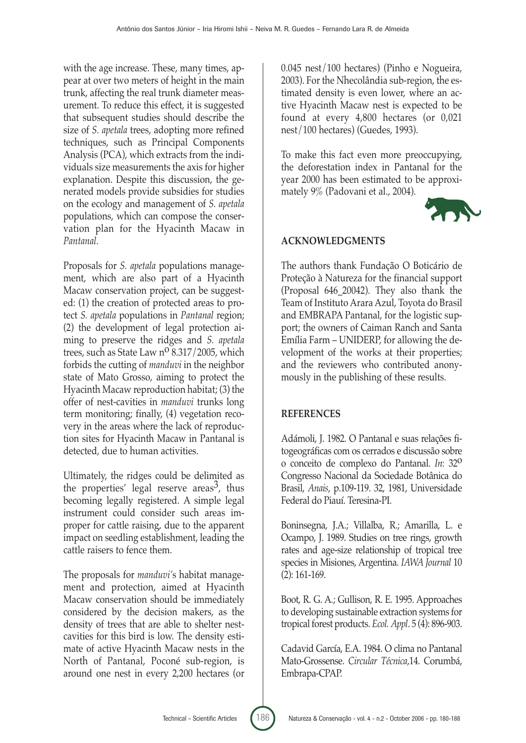with the age increase. These, many times, appear at over two meters of height in the main trunk, affecting the real trunk diameter measurement. To reduce this effect, it is suggested that subsequent studies should describe the size of *S. apetala* trees, adopting more refined techniques, such as Principal Components Analysis (PCA), which extracts from the individuals size measurements the axis for higher explanation. Despite this discussion, the generated models provide subsidies for studies on the ecology and management of *S. apetala* populations, which can compose the conservation plan for the Hyacinth Macaw in *Pantanal*.

Proposals for *S. apetala* populations management, which are also part of a Hyacinth Macaw conservation project, can be suggested: (1) the creation of protected areas to protect *S. apetala* populations in *Pantanal* region; (2) the development of legal protection aiming to preserve the ridges and *S. apetala* trees, such as State Law  $n^{\circ}$  8.317/2005, which forbids the cutting of *manduvi* in the neighbor state of Mato Grosso, aiming to protect the Hyacinth Macaw reproduction habitat; (3) the offer of nest-cavities in *manduvi* trunks long term monitoring; finally, (4) vegetation recovery in the areas where the lack of reproduction sites for Hyacinth Macaw in Pantanal is detected, due to human activities.

Ultimately, the ridges could be delimited as the properties' legal reserve areas<sup>3</sup>, thus becoming legally registered. A simple legal instrument could consider such areas improper for cattle raising, due to the apparent impact on seedling establishment, leading the cattle raisers to fence them.

The proposals for *manduvi'*s habitat management and protection, aimed at Hyacinth Macaw conservation should be immediately considered by the decision makers, as the density of trees that are able to shelter nestcavities for this bird is low. The density estimate of active Hyacinth Macaw nests in the North of Pantanal, Poconé sub-region, is around one nest in every 2,200 hectares (or 0.045 nest/100 hectares) (Pinho e Nogueira, 2003). For the Nhecolândia sub-region, the estimated density is even lower, where an active Hyacinth Macaw nest is expected to be found at every 4,800 hectares (or 0,021 nest/100 hectares) (Guedes, 1993).

To make this fact even more preoccupying, the deforestation index in Pantanal for the year 2000 has been estimated to be approximately 9% (Padovani et al., 2004).



# **ACKNOWLEDGMENTS**

The authors thank Fundação O Boticário de Proteção à Natureza for the financial support (Proposal 646\_20042). They also thank the Team of Instituto Arara Azul, Toyota do Brasil and EMBRAPA Pantanal, for the logistic support; the owners of Caiman Ranch and Santa Emília Farm – UNIDERP, for allowing the development of the works at their properties; and the reviewers who contributed anonymously in the publishing of these results.

## **REFERENCES**

Adámoli, J. 1982. O Pantanal e suas relações fitogeográficas com os cerrados e discussão sobre o conceito de complexo do Pantanal. *In*: 32o Congresso Nacional da Sociedade Botânica do Brasil, *Anais*, p.109-119. 32, 1981, Universidade Federal do Piauí. Teresina-PI.

Boninsegna, J.A.; Villalba, R.; Amarilla, L. e Ocampo, J. 1989. Studies on tree rings, growth rates and age-size relationship of tropical tree species in Misiones, Argentina. *IAWA Journal* 10 (2): 161-169.

Boot, R. G. A.; Gullison, R. E. 1995. Approaches to developing sustainable extraction systems for tropical forest products. *Ecol. Appl*. 5 (4): 896-903.

Cadavid García, E.A. 1984. O clima no Pantanal Mato-Grossense. *Circular Técnica*,14. Corumbá, Embrapa-CPAP.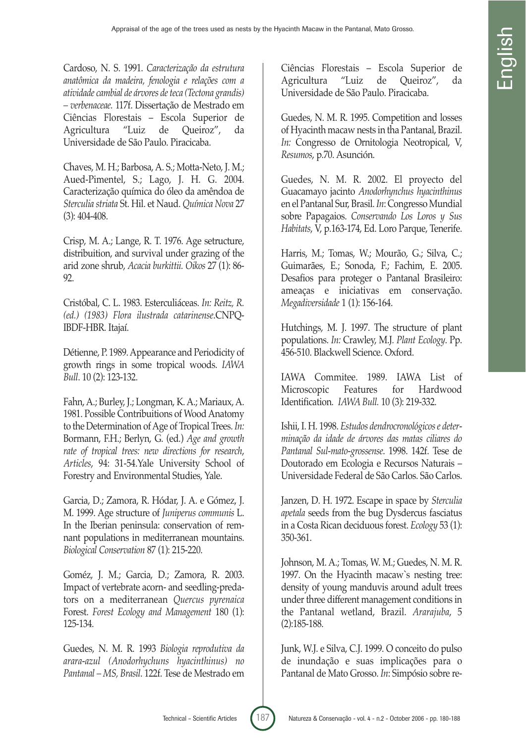Cardoso, N. S. 1991. *Caracterização da estrutura anatômica da madeira, fenologia e relações com a atividade cambial de árvores de teca (Tectona grandis) – verbenaceae.* 117f. Dissertação de Mestrado em Ciências Florestais – Escola Superior de Agricultura "Luiz de Queiroz", da Universidade de São Paulo. Piracicaba.

Chaves, M. H.; Barbosa, A. S.; Motta-Neto, J. M.; Aued-Pimentel, S.; Lago, J. H. G. 2004. Caracterização química do óleo da amêndoa de *Sterculia striata* St. Hil. et Naud. *Química Nova* 27 (3): 404-408.

Crisp, M. A.; Lange, R. T. 1976. Age setructure, distribuition, and survival under grazing of the arid zone shrub, *Acacia burkittii. Oikos* 27 (1): 86- 92.

Cristóbal, C. L. 1983. Esterculiáceas. *In: Reitz, R. (ed.) (1983) Flora ilustrada catarinense*.CNPQ-IBDF-HBR. Itajaí.

Détienne, P. 1989. Appearance and Periodicity of growth rings in some tropical woods. *IAWA Bull*. 10 (2): 123-132.

Fahn, A.; Burley, J.; Longman, K. A.; Mariaux, A. 1981. Possible Contribuitions of Wood Anatomy to the Determination of Age of Tropical Trees. *In:* Bormann, F.H.; Berlyn, G. (ed.) *Age and growth rate of tropical trees: new directions for research*, *Articles*, 94: 31-54.Yale University School of Forestry and Environmental Studies, Yale.

Garcia, D.; Zamora, R. Hódar, J. A. e Gómez, J. M. 1999. Age structure of *Juniperus communis* L. In the Iberian peninsula: conservation of remnant populations in mediterranean mountains. *Biological Conservation* 87 (1): 215-220.

Goméz, J. M.; Garcia, D.; Zamora, R. 2003. Impact of vertebrate acorn- and seedling-predators on a mediterranean *Quercus pyrenaica* Forest. *Forest Ecology and Management* 180 (1): 125-134.

Guedes, N. M. R. 1993 *Biologia reprodutiva da arara-azul (Anodorhychuns hyacinthinus) no Pantanal – MS, Brasil*. 122f. Tese de Mestrado em

Ciências Florestais – Escola Superior de Agricultura "Luiz de Queiroz", da Universidade de São Paulo. Piracicaba.

Guedes, N. M. R. 1995. Competition and losses of Hyacinth macaw nests in tha Pantanal, Brazil. *In:* Congresso de Ornitologia Neotropical, V, *Resumos*, p.70. Asunción.

Guedes, N. M. R. 2002. El proyecto del Guacamayo jacinto *Anodorhynchus hyacinthinus* en el Pantanal Sur, Brasil. *In*: Congresso Mundial sobre Papagaios. *Conservando Los Loros y Sus Habitats*, V, p.163-174, Ed. Loro Parque, Tenerife.

Harris, M.; Tomas, W.; Mourão, G.; Silva, C.; Guimarães, E.; Sonoda, F.; Fachim, E. 2005. Desafios para proteger o Pantanal Brasileiro: ameaças e iniciativas em conservação. *Megadiversidade* 1 (1): 156-164.

Hutchings, M. J. 1997. The structure of plant populations. *In:* Crawley, M.J*. Plant Ecology*. Pp. 456-510. Blackwell Science. Oxford.

IAWA Commitee. 1989. IAWA List of Microscopic Features for Hardwood Identification. *IAWA Bull.* 10 (3): 219-332.

Ishii, I. H. 1998. *Estudos dendrocronológicos e determinação da idade de árvores das matas ciliares do Pantanal Sul-mato-grossense*. 1998. 142f. Tese de Doutorado em Ecologia e Recursos Naturais – Universidade Federal de São Carlos. São Carlos.

Janzen, D. H. 1972. Escape in space by *Sterculia apetala* seeds from the bug Dysdercus fasciatus in a Costa Rican deciduous forest. *Ecology* 53 (1): 350-361.

Johnson, M. A.; Tomas, W. M.; Guedes, N. M. R. 1997. On the Hyacinth macaw`s nesting tree: density of young manduvis around adult trees under three different management conditions in the Pantanal wetland, Brazil. *Ararajuba*, 5 (2):185-188.

Junk, W.J. e Silva, C.J. 1999. O conceito do pulso de inundação e suas implicações para o Pantanal de Mato Grosso. *In*: Simpósio sobre re